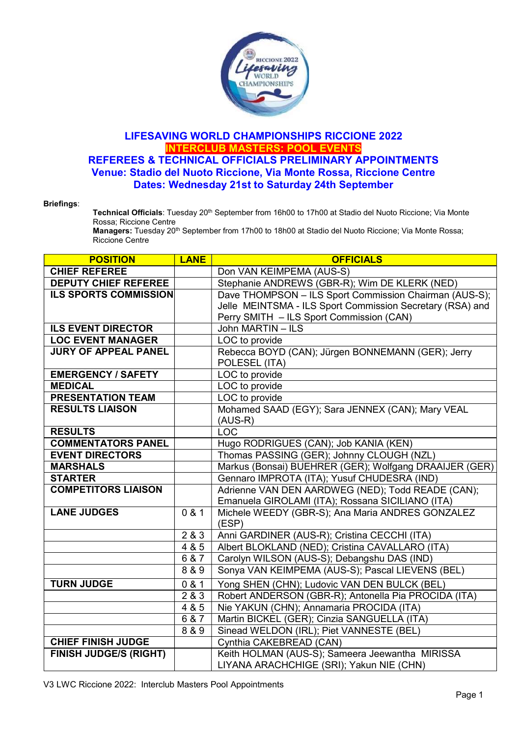

## LIFESAVING WORLD CHAMPIONSHIPS RICCIONE 2022 INTERCLUB MASTERS: POOL EVENTS REFEREES & TECHNICAL OFFICIALS PRELIMINARY APPOINTMENTS Venue: Stadio del Nuoto Riccione, Via Monte Rossa, Riccione Centre Dates: Wednesday 21st to Saturday 24th September

## Briefings:

Technical Officials: Tuesday 20<sup>th</sup> September from 16h00 to 17h00 at Stadio del Nuoto Riccione; Via Monte Rossa; Riccione Centre

Managers: Tuesday 20<sup>th</sup> September from 17h00 to 18h00 at Stadio del Nuoto Riccione; Via Monte Rossa; Riccione Centre

| <b>POSITION</b>               | <b>LANE</b> | <b>OFFICIALS</b>                                          |
|-------------------------------|-------------|-----------------------------------------------------------|
| <b>CHIEF REFEREE</b>          |             | Don VAN KEIMPEMA (AUS-S)                                  |
| <b>DEPUTY CHIEF REFEREE</b>   |             | Stephanie ANDREWS (GBR-R); Wim DE KLERK (NED)             |
| <b>ILS SPORTS COMMISSION</b>  |             | Dave THOMPSON - ILS Sport Commission Chairman (AUS-S);    |
|                               |             | Jelle MEINTSMA - ILS Sport Commission Secretary (RSA) and |
|                               |             | Perry SMITH - ILS Sport Commission (CAN)                  |
| <b>ILS EVENT DIRECTOR</b>     |             | John MARTIN - ILS                                         |
| <b>LOC EVENT MANAGER</b>      |             | LOC to provide                                            |
| <b>JURY OF APPEAL PANEL</b>   |             | Rebecca BOYD (CAN); Jürgen BONNEMANN (GER); Jerry         |
|                               |             | POLESEL (ITA)                                             |
| <b>EMERGENCY / SAFETY</b>     |             | LOC to provide                                            |
| <b>MEDICAL</b>                |             | LOC to provide                                            |
| <b>PRESENTATION TEAM</b>      |             | LOC to provide                                            |
| <b>RESULTS LIAISON</b>        |             | Mohamed SAAD (EGY); Sara JENNEX (CAN); Mary VEAL          |
|                               |             | $(AUS-R)$                                                 |
| <b>RESULTS</b>                |             | <b>LOC</b>                                                |
| <b>COMMENTATORS PANEL</b>     |             | Hugo RODRIGUES (CAN); Job KANIA (KEN)                     |
| <b>EVENT DIRECTORS</b>        |             | Thomas PASSING (GER); Johnny CLOUGH (NZL)                 |
| <b>MARSHALS</b>               |             | Markus (Bonsai) BUEHRER (GER); Wolfgang DRAAIJER (GER)    |
| <b>STARTER</b>                |             | Gennaro IMPROTA (ITA); Yusuf CHUDESRA (IND)               |
| <b>COMPETITORS LIAISON</b>    |             | Adrienne VAN DEN AARDWEG (NED); Todd READE (CAN);         |
|                               |             | Emanuela GIROLAMI (ITA); Rossana SICILIANO (ITA)          |
| <b>LANE JUDGES</b>            | 0 & 1       | Michele WEEDY (GBR-S); Ana Maria ANDRES GONZALEZ          |
|                               |             | (ESP)                                                     |
|                               | 2 & 3       | Anni GARDINER (AUS-R); Cristina CECCHI (ITA)              |
|                               | 4 & 5       | Albert BLOKLAND (NED); Cristina CAVALLARO (ITA)           |
|                               | 6 & 7       | Carolyn WILSON (AUS-S); Debangshu DAS (IND)               |
|                               | 8 & 9       | Sonya VAN KEIMPEMA (AUS-S); Pascal LIEVENS (BEL)          |
| <b>TURN JUDGE</b>             | 0 & 1       | Yong SHEN (CHN); Ludovic VAN DEN BULCK (BEL)              |
|                               | 2&3         | Robert ANDERSON (GBR-R); Antonella Pia PROCIDA (ITA)      |
|                               | 485         | Nie YAKUN (CHN); Annamaria PROCIDA (ITA)                  |
|                               | 6 & 7       | Martin BICKEL (GER); Cinzia SANGUELLA (ITA)               |
|                               | 8 & 9       | Sinead WELDON (IRL); Piet VANNESTE (BEL)                  |
| <b>CHIEF FINISH JUDGE</b>     |             | Cynthia CAKEBREAD (CAN)                                   |
| <b>FINISH JUDGE/S (RIGHT)</b> |             | Keith HOLMAN (AUS-S); Sameera Jeewantha MIRISSA           |
|                               |             | LIYANA ARACHCHIGE (SRI); Yakun NIE (CHN)                  |

V3 LWC Riccione 2022: Interclub Masters Pool Appointments